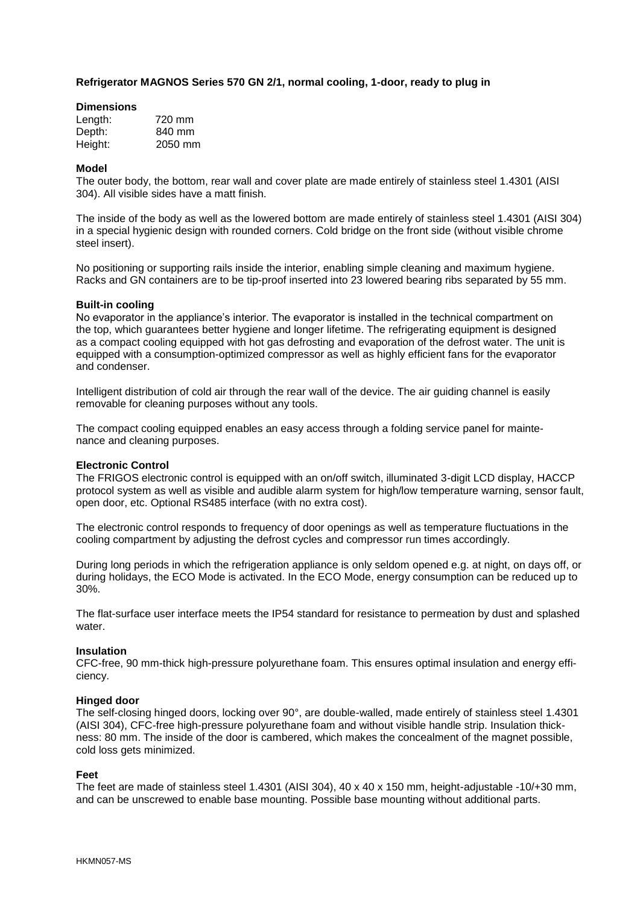## **Refrigerator MAGNOS Series 570 GN 2/1, normal cooling, 1-door, ready to plug in**

### **Dimensions**

| Length: | 720 mm  |
|---------|---------|
| Depth:  | 840 mm  |
| Height: | 2050 mm |

### **Model**

The outer body, the bottom, rear wall and cover plate are made entirely of stainless steel 1.4301 (AISI 304). All visible sides have a matt finish.

The inside of the body as well as the lowered bottom are made entirely of stainless steel 1.4301 (AISI 304) in a special hygienic design with rounded corners. Cold bridge on the front side (without visible chrome steel insert).

No positioning or supporting rails inside the interior, enabling simple cleaning and maximum hygiene. Racks and GN containers are to be tip-proof inserted into 23 lowered bearing ribs separated by 55 mm.

### **Built-in cooling**

No evaporator in the appliance's interior. The evaporator is installed in the technical compartment on the top, which guarantees better hygiene and longer lifetime. The refrigerating equipment is designed as a compact cooling equipped with hot gas defrosting and evaporation of the defrost water. The unit is equipped with a consumption-optimized compressor as well as highly efficient fans for the evaporator and condenser.

Intelligent distribution of cold air through the rear wall of the device. The air guiding channel is easily removable for cleaning purposes without any tools.

The compact cooling equipped enables an easy access through a folding service panel for maintenance and cleaning purposes.

## **Electronic Control**

The FRIGOS electronic control is equipped with an on/off switch, illuminated 3-digit LCD display, HACCP protocol system as well as visible and audible alarm system for high/low temperature warning, sensor fault, open door, etc. Optional RS485 interface (with no extra cost).

The electronic control responds to frequency of door openings as well as temperature fluctuations in the cooling compartment by adjusting the defrost cycles and compressor run times accordingly.

During long periods in which the refrigeration appliance is only seldom opened e.g. at night, on days off, or during holidays, the ECO Mode is activated. In the ECO Mode, energy consumption can be reduced up to 30%.

The flat-surface user interface meets the IP54 standard for resistance to permeation by dust and splashed water.

#### **Insulation**

CFC-free, 90 mm-thick high-pressure polyurethane foam. This ensures optimal insulation and energy efficiency.

#### **Hinged door**

The self-closing hinged doors, locking over 90°, are double-walled, made entirely of stainless steel 1.4301 (AISI 304), CFC-free high-pressure polyurethane foam and without visible handle strip. Insulation thickness: 80 mm. The inside of the door is cambered, which makes the concealment of the magnet possible, cold loss gets minimized.

#### **Feet**

The feet are made of stainless steel 1.4301 (AISI 304), 40 x 40 x 150 mm, height-adjustable -10/+30 mm, and can be unscrewed to enable base mounting. Possible base mounting without additional parts.